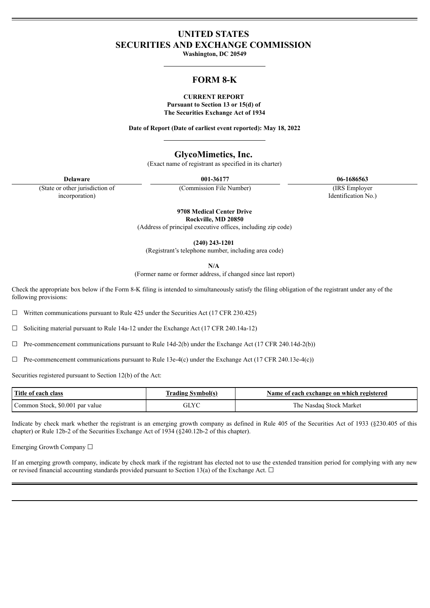# **UNITED STATES SECURITIES AND EXCHANGE COMMISSION**

**Washington, DC 20549**

# **FORM 8-K**

## **CURRENT REPORT Pursuant to Section 13 or 15(d) of The Securities Exchange Act of 1934**

**Date of Report (Date of earliest event reported): May 18, 2022**

# **GlycoMimetics, Inc.**

(Exact name of registrant as specified in its charter)

**Delaware 001-36177 06-1686563**

(State or other jurisdiction of incorporation)

(Commission File Number) (IRS Employer

Identification No.)

**9708 Medical Center Drive Rockville, MD 20850**

(Address of principal executive offices, including zip code)

**(240) 243-1201**

(Registrant's telephone number, including area code)

**N/A**

(Former name or former address, if changed since last report)

Check the appropriate box below if the Form 8-K filing is intended to simultaneously satisfy the filing obligation of the registrant under any of the following provisions:

 $\Box$  Written communications pursuant to Rule 425 under the Securities Act (17 CFR 230.425)

 $\Box$  Soliciting material pursuant to Rule 14a-12 under the Exchange Act (17 CFR 240.14a-12)

 $\Box$  Pre-commencement communications pursuant to Rule 14d-2(b) under the Exchange Act (17 CFR 240.14d-2(b))

 $\Box$  Pre-commencement communications pursuant to Rule 13e-4(c) under the Exchange Act (17 CFR 240.13e-4(c))

Securities registered pursuant to Section 12(b) of the Act:

| Title of each class             | Name of each exchange on which registered |                         |
|---------------------------------|-------------------------------------------|-------------------------|
| Common Stock, \$0.001 par value |                                           | The Nasdag Stock Market |

Indícate by check mark whether the registrant is an emerging growth company as defined in Rule 405 of the Securities Act of 1933 (§230.405 of this chapter) or Rule 12b-2 of the Securities Exchange Act of 1934 (§240.12b-2 of this chapter).

Emerging Growth Company ☐

If an emerging growth company, indicate by check mark if the registrant has elected not to use the extended transition period for complying with any new or revised financial accounting standards provided pursuant to Section 13(a) of the Exchange Act.  $\Box$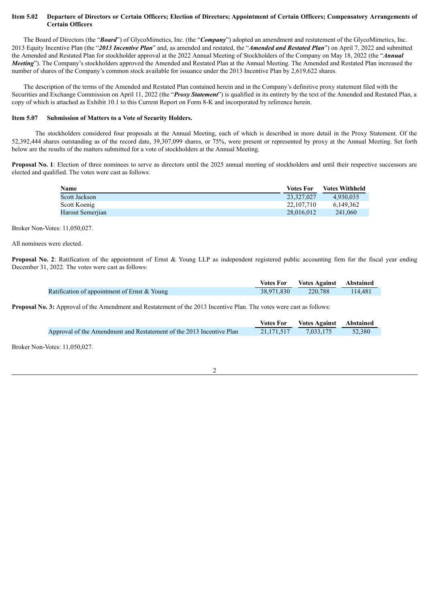# Item 5.02 Departure of Directors or Certain Officers; Election of Directors; Appointment of Certain Officers; Compensatory Arrangements of **Certain Officers**

The Board of Directors (the "*Board*") of GlycoMimetics, Inc. (the "*Company*") adopted an amendment and restatement of the GlycoMimetics, Inc. 2013 Equity Incentive Plan (the "*2013 Incentive Plan*" and, as amended and restated, the "*Amended and Restated Plan*") on April 7, 2022 and submitted the Amended and Restated Plan for stockholder approval at the 2022 Annual Meeting of Stockholders of the Company on May 18, 2022 (the "*Annual Meeting*"). The Company's stockholders approved the Amended and Restated Plan at the Annual Meeting. The Amended and Restated Plan increased the number of shares of the Company's common stock available for issuance under the 2013 Incentive Plan by 2,619,622 shares.

The description of the terms of the Amended and Restated Plan contained herein and in the Company's definitive proxy statement filed with the Securities and Exchange Commission on April 11, 2022 (the "*Proxy Statement*") is qualified in its entirety by the text of the Amended and Restated Plan, a copy of which is attached as Exhibit 10.1 to this Current Report on Form 8-K and incorporated by reference herein.

#### **Item 5.07 Submission of Matters to a Vote of Security Holders.**

The stockholders considered four proposals at the Annual Meeting, each of which is described in more detail in the Proxy Statement. Of the 52,392,444 shares outstanding as of the record date, 39,307,099 shares, or 75%, were present or represented by proxy at the Annual Meeting. Set forth below are the results of the matters submitted for a vote of stockholders at the Annual Meeting.

**Proposal No. 1**: Election of three nominees to serve as directors until the 2025 annual meeting of stockholders and until their respective successors are elected and qualified. The votes were cast as follows:

| Name                 | <b>Votes For</b> | <b>Votes Withheld</b> |
|----------------------|------------------|-----------------------|
| <b>Scott Jackson</b> | 23.327.027       | 4.930.035             |
| Scott Koenig         | 22.107.710       | 6.149.362             |
| Harout Semeriian     | 28.016.012       | 241.060               |

Broker Non-Votes: 11,050,027.

All nominees were elected.

**Proposal No. 2:** Ratification of the appointment of Ernst & Young LLP as independent registered public accounting firm for the fiscal year ending December 31, 2022. The votes were cast as follows:

|                                              | <b>Votes For</b> Votes Against Abstained |         |
|----------------------------------------------|------------------------------------------|---------|
| Ratification of appointment of Ernst & Young | 38,971,830 220,788                       | 114,481 |

**Proposal No. 3:** Approval of the Amendment and Restatement of the 2013 Incentive Plan. The votes were cast as follows:

|                                                                      | <b>Votes For</b> | <b>Votes Against</b> Abstained |        |
|----------------------------------------------------------------------|------------------|--------------------------------|--------|
| Approval of the Amendment and Restatement of the 2013 Incentive Plan | 21.171.517       | 7.033.175                      | 52,380 |
|                                                                      |                  |                                |        |

2

Broker Non-Votes: 11,050,027.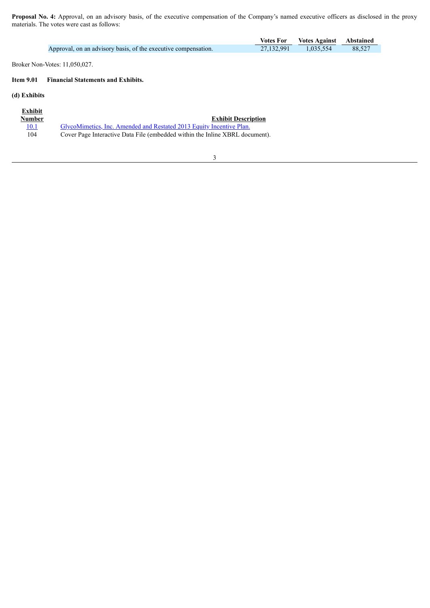**Proposal No. 4:** Approval, on an advisory basis, of the executive compensation of the Company's named executive officers as disclosed in the proxy materials. The votes were cast as follows:

|                                                                | Votes For | <b>Votes Against</b> Abstained |        |
|----------------------------------------------------------------|-----------|--------------------------------|--------|
| Approval, on an advisory basis, of the executive compensation. |           | 27,132,991 1,035,554           | 88.527 |
|                                                                |           |                                |        |

Broker Non-Votes: 11,050,027.

# **Item 9.01 Financial Statements and Exhibits.**

# **(d) Exhibits**

| Exhibit<br><b>Number</b> | <b>Exhibit Description</b>                                                   |
|--------------------------|------------------------------------------------------------------------------|
| <u> 10.1</u>             | GlycoMimetics, Inc. Amended and Restated 2013 Equity Incentive Plan.         |
| 104                      | Cover Page Interactive Data File (embedded within the Inline XBRL document). |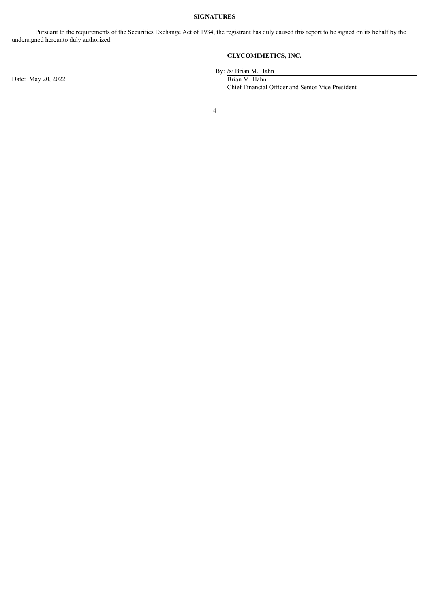# **SIGNATURES**

Pursuant to the requirements of the Securities Exchange Act of 1934, the registrant has duly caused this report to be signed on its behalf by the undersigned hereunto duly authorized.

# **GLYCOMIMETICS, INC.**

By: /s/ Brian M. Hahn

Chief Financial Officer and Senior Vice President

Date: May 20, 2022 Brian M. Hahn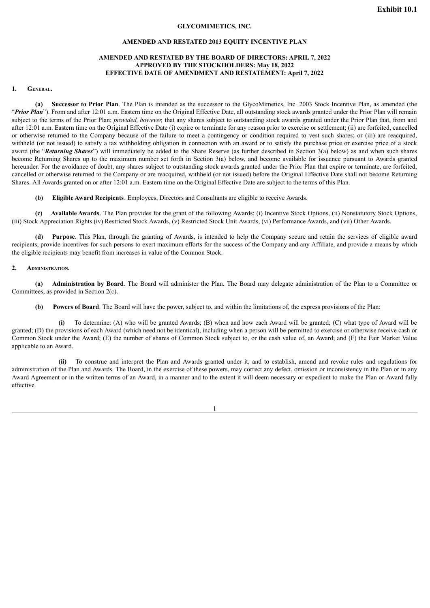### **GLYCOMIMETICS, INC.**

#### **AMENDED AND RESTATED 2013 EQUITY INCENTIVE PLAN**

# **AMENDED AND RESTATED BY THE BOARD OF DIRECTORS: APRIL 7, 2022 APPROVED BY THE STOCKHOLDERS: May 18, 2022 EFFECTIVE DATE OF AMENDMENT AND RESTATEMENT: April 7, 2022**

#### <span id="page-4-0"></span>**1. General.**

**(a) Successor to Prior Plan**. The Plan is intended as the successor to the GlycoMimetics, Inc. 2003 Stock Incentive Plan, as amended (the "*Prior Plan*"). From and after 12:01 a.m. Eastern time on the Original Effective Date, all outstanding stock awards granted under the Prior Plan will remain subject to the terms of the Prior Plan; *provided, however,* that any shares subject to outstanding stock awards granted under the Prior Plan that, from and after 12:01 a.m. Eastern time on the Original Effective Date (i) expire or terminate for any reason prior to exercise or settlement; (ii) are forfeited, cancelled or otherwise returned to the Company because of the failure to meet a contingency or condition required to vest such shares; or (iii) are reacquired, withheld (or not issued) to satisfy a tax withholding obligation in connection with an award or to satisfy the purchase price or exercise price of a stock award (the "*Returning Shares*") will immediately be added to the Share Reserve (as further described in Section 3(a) below) as and when such shares become Returning Shares up to the maximum number set forth in Section 3(a) below, and become available for issuance pursuant to Awards granted hereunder. For the avoidance of doubt, any shares subject to outstanding stock awards granted under the Prior Plan that expire or terminate, are forfeited, cancelled or otherwise returned to the Company or are reacquired, withheld (or not issued) before the Original Effective Date shall not become Returning Shares. All Awards granted on or after 12:01 a.m. Eastern time on the Original Effective Date are subject to the terms of this Plan.

**(b) Eligible Award Recipients**. Employees, Directors and Consultants are eligible to receive Awards.

**(c) Available Awards**. The Plan provides for the grant of the following Awards: (i) Incentive Stock Options, (ii) Nonstatutory Stock Options, (iii) Stock Appreciation Rights (iv) Restricted Stock Awards, (v) Restricted Stock Unit Awards, (vi) Performance Awards, and (vii) Other Awards.

**(d) Purpose**. This Plan, through the granting of Awards, is intended to help the Company secure and retain the services of eligible award recipients, provide incentives for such persons to exert maximum efforts for the success of the Company and any Affiliate, and provide a means by which the eligible recipients may benefit from increases in value of the Common Stock.

#### **2. Administration.**

**(a) Administration by Board**. The Board will administer the Plan. The Board may delegate administration of the Plan to a Committee or Committees, as provided in Section 2(c).

**(b) Powers of Board**. The Board will have the power, subject to, and within the limitations of, the express provisions of the Plan:

**(i)** To determine: (A) who will be granted Awards; (B) when and how each Award will be granted; (C) what type of Award will be granted; (D) the provisions of each Award (which need not be identical), including when a person will be permitted to exercise or otherwise receive cash or Common Stock under the Award; (E) the number of shares of Common Stock subject to, or the cash value of, an Award; and (F) the Fair Market Value applicable to an Award.

**(ii)** To construe and interpret the Plan and Awards granted under it, and to establish, amend and revoke rules and regulations for administration of the Plan and Awards. The Board, in the exercise of these powers, may correct any defect, omission or inconsistency in the Plan or in any Award Agreement or in the written terms of an Award, in a manner and to the extent it will deem necessary or expedient to make the Plan or Award fully effective.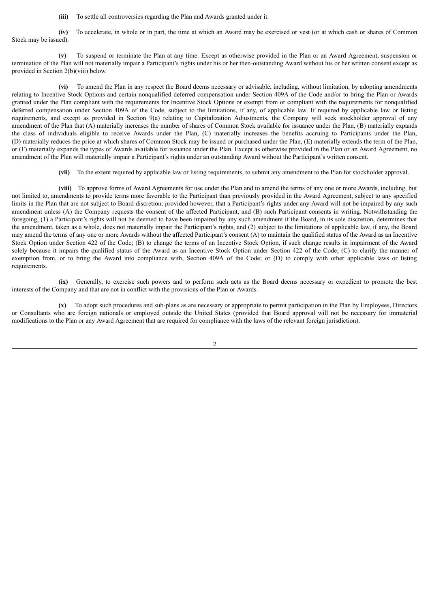**(iii)** To settle all controversies regarding the Plan and Awards granted under it.

**(iv)** To accelerate, in whole or in part, the time at which an Award may be exercised or vest (or at which cash or shares of Common Stock may be issued).

**(v)** To suspend or terminate the Plan at any time. Except as otherwise provided in the Plan or an Award Agreement, suspension or termination of the Plan will not materially impair a Participant's rights under his or her then-outstanding Award without his or her written consent except as provided in Section 2(b)(viii) below.

**(vi)** To amend the Plan in any respect the Board deems necessary or advisable, including, without limitation, by adopting amendments relating to Incentive Stock Options and certain nonqualified deferred compensation under Section 409A of the Code and/or to bring the Plan or Awards granted under the Plan compliant with the requirements for Incentive Stock Options or exempt from or compliant with the requirements for nonqualified deferred compensation under Section 409A of the Code, subject to the limitations, if any, of applicable law. If required by applicable law or listing requirements, and except as provided in Section 9(a) relating to Capitalization Adjustments, the Company will seek stockholder approval of any amendment of the Plan that (A) materially increases the number of shares of Common Stock available for issuance under the Plan, (B) materially expands the class of individuals eligible to receive Awards under the Plan, (C) materially increases the benefits accruing to Participants under the Plan, (D) materially reduces the price at which shares of Common Stock may be issued or purchased under the Plan, (E) materially extends the term of the Plan, or (F) materially expands the types of Awards available for issuance under the Plan. Except as otherwise provided in the Plan or an Award Agreement, no amendment of the Plan will materially impair a Participant's rights under an outstanding Award without the Participant's written consent.

**(vii)** To the extent required by applicable law or listing requirements, to submit any amendment to the Plan for stockholder approval.

**(viii)** To approve forms of Award Agreements for use under the Plan and to amend the terms of any one or more Awards, including, but not limited to, amendments to provide terms more favorable to the Participant than previously provided in the Award Agreement, subject to any specified limits in the Plan that are not subject to Board discretion; provided however, that a Participant's rights under any Award will not be impaired by any such amendment unless (A) the Company requests the consent of the affected Participant, and (B) such Participant consents in writing. Notwithstanding the foregoing, (1) a Participant's rights will not be deemed to have been impaired by any such amendment if the Board, in its sole discretion, determines that the amendment, taken as a whole, does not materially impair the Participant's rights, and (2) subject to the limitations of applicable law, if any, the Board may amend the terms of any one or more Awards without the affected Participant's consent (A) to maintain the qualified status of the Award as an Incentive Stock Option under Section 422 of the Code; (B) to change the terms of an Incentive Stock Option, if such change results in impairment of the Award solely because it impairs the qualified status of the Award as an Incentive Stock Option under Section 422 of the Code; (C) to clarify the manner of exemption from, or to bring the Award into compliance with, Section 409A of the Code; or (D) to comply with other applicable laws or listing requirements.

**(ix)** Generally, to exercise such powers and to perform such acts as the Board deems necessary or expedient to promote the best interests of the Company and that are not in conflict with the provisions of the Plan or Awards.

**(x)** To adopt such procedures and sub-plans as are necessary or appropriate to permit participation in the Plan by Employees, Directors or Consultants who are foreign nationals or employed outside the United States (provided that Board approval will not be necessary for immaterial modifications to the Plan or any Award Agreement that are required for compliance with the laws of the relevant foreign jurisdiction).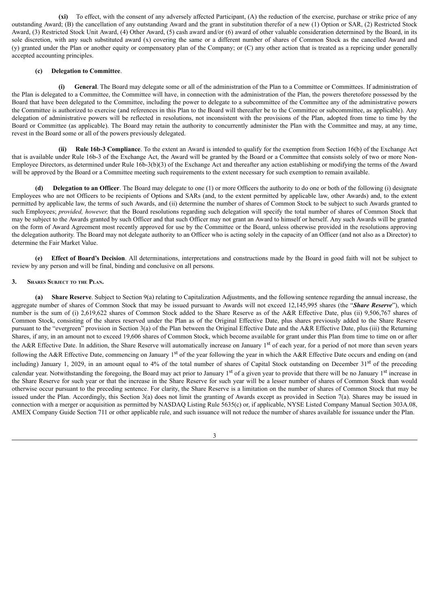**(xi)** To effect, with the consent of any adversely affected Participant, (A) the reduction of the exercise, purchase or strike price of any outstanding Award; (B) the cancellation of any outstanding Award and the grant in substitution therefor of a new (1) Option or SAR, (2) Restricted Stock Award, (3) Restricted Stock Unit Award, (4) Other Award, (5) cash award and/or (6) award of other valuable consideration determined by the Board, in its sole discretion, with any such substituted award (x) covering the same or a different number of shares of Common Stock as the cancelled Award and (y) granted under the Plan or another equity or compensatory plan of the Company; or (C) any other action that is treated as a repricing under generally accepted accounting principles.

# **(c) Delegation to Committee**.

**(i) General**. The Board may delegate some or all of the administration of the Plan to a Committee or Committees. If administration of the Plan is delegated to a Committee, the Committee will have, in connection with the administration of the Plan, the powers theretofore possessed by the Board that have been delegated to the Committee, including the power to delegate to a subcommittee of the Committee any of the administrative powers the Committee is authorized to exercise (and references in this Plan to the Board will thereafter be to the Committee or subcommittee, as applicable). Any delegation of administrative powers will be reflected in resolutions, not inconsistent with the provisions of the Plan, adopted from time to time by the Board or Committee (as applicable). The Board may retain the authority to concurrently administer the Plan with the Committee and may, at any time, revest in the Board some or all of the powers previously delegated.

**(ii) Rule 16b-3 Compliance**. To the extent an Award is intended to qualify for the exemption from Section 16(b) of the Exchange Act that is available under Rule 16b-3 of the Exchange Act, the Award will be granted by the Board or a Committee that consists solely of two or more Non-Employee Directors, as determined under Rule 16b-3(b)(3) of the Exchange Act and thereafter any action establishing or modifying the terms of the Award will be approved by the Board or a Committee meeting such requirements to the extent necessary for such exemption to remain available.

**(d) Delegation to an Officer**. The Board may delegate to one (1) or more Officers the authority to do one or both of the following (i) designate Employees who are not Officers to be recipients of Options and SARs (and, to the extent permitted by applicable law, other Awards) and, to the extent permitted by applicable law, the terms of such Awards, and (ii) determine the number of shares of Common Stock to be subject to such Awards granted to such Employees; *provided, however,* that the Board resolutions regarding such delegation will specify the total number of shares of Common Stock that may be subject to the Awards granted by such Officer and that such Officer may not grant an Award to himself or herself. Any such Awards will be granted on the form of Award Agreement most recently approved for use by the Committee or the Board, unless otherwise provided in the resolutions approving the delegation authority. The Board may not delegate authority to an Officer who is acting solely in the capacity of an Officer (and not also as a Director) to determine the Fair Market Value.

**(e) Effect of Board's Decision**. All determinations, interpretations and constructions made by the Board in good faith will not be subject to review by any person and will be final, binding and conclusive on all persons.

#### **3. Shares Subject to the Plan.**

**(a) Share Reserve**. Subject to Section 9(a) relating to Capitalization Adjustments, and the following sentence regarding the annual increase, the aggregate number of shares of Common Stock that may be issued pursuant to Awards will not exceed 12,145,995 shares (the "*Share Reserve*"), which number is the sum of (i) 2,619,622 shares of Common Stock added to the Share Reserve as of the A&R Effective Date, plus (ii) 9,506,767 shares of Common Stock, consisting of the shares reserved under the Plan as of the Original Effective Date, plus shares previously added to the Share Reserve pursuant to the "evergreen" provision in Section 3(a) of the Plan between the Original Effective Date and the A&R Effective Date, plus (iii) the Returning Shares, if any, in an amount not to exceed 19,606 shares of Common Stock, which become available for grant under this Plan from time to time on or after the A&R Effective Date. In addition, the Share Reserve will automatically increase on January 1<sup>st</sup> of each year, for a period of not more than seven years following the A&R Effective Date, commencing on January 1<sup>st</sup> of the year following the year in which the A&R Effective Date occurs and ending on (and including) January 1, 2029, in an amount equal to 4% of the total number of shares of Capital Stock outstanding on December 31<sup>st</sup> of the preceding calendar year. Notwithstanding the foregoing, the Board may act prior to January 1<sup>st</sup> of a given year to provide that there will be no January 1<sup>st</sup> increase in the Share Reserve for such year or that the increase in the Share Reserve for such year will be a lesser number of shares of Common Stock than would otherwise occur pursuant to the preceding sentence. For clarity, the Share Reserve is a limitation on the number of shares of Common Stock that may be issued under the Plan. Accordingly, this Section 3(a) does not limit the granting of Awards except as provided in Section 7(a). Shares may be issued in connection with a merger or acquisition as permitted by NASDAQ Listing Rule 5635(c) or, if applicable, NYSE Listed Company Manual Section 303A.08, AMEX Company Guide Section 711 or other applicable rule, and such issuance will not reduce the number of shares available for issuance under the Plan.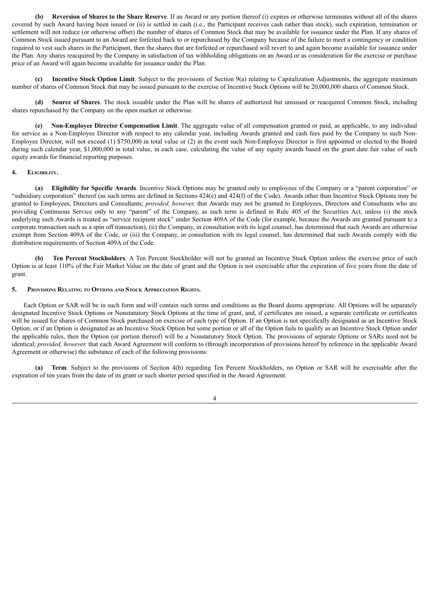**(b) Reversion of Shares to the Share Reserve**. If an Award or any portion thereof (i) expires or otherwise terminates without all of the shares covered by such Award having been issued or (ii) is settled in cash (i.e., the Participant receives cash rather than stock), such expiration, termination or settlement will not reduce (or otherwise offset) the number of shares of Common Stock that may be available for issuance under the Plan. If any shares of Common Stock issued pursuant to an Award are forfeited back to or repurchased by the Company because of the failure to meet a contingency or condition required to vest such shares in the Participant, then the shares that are forfeited or repurchased will revert to and again become available for issuance under the Plan. Any shares reacquired by the Company in satisfaction of tax withholding obligations on an Award or as consideration for the exercise or purchase price of an Award will again become available for issuance under the Plan.

**(c) Incentive Stock Option Limit**. Subject to the provisions of Section 9(a) relating to Capitalization Adjustments, the aggregate maximum number of shares of Common Stock that may be issued pursuant to the exercise of Incentive Stock Options will be 20,000,000 shares of Common Stock.

**(d) Source of Shares**. The stock issuable under the Plan will be shares of authorized but unissued or reacquired Common Stock, including shares repurchased by the Company on the open market or otherwise.

**(e) Non-Employee Director Compensation Limit**. The aggregate value of all compensation granted or paid, as applicable, to any individual for service as a Non-Employee Director with respect to any calendar year, including Awards granted and cash fees paid by the Company to such Non-Employee Director, will not exceed (1) \$750,000 in total value or (2) in the event such Non-Employee Director is first appointed or elected to the Board during such calendar year, \$1,000,000 in total value, in each case, calculating the value of any equity awards based on the grant date fair value of such equity awards for financial reporting purposes.

#### **4. Eligibility.**

**(a) Eligibility for Specific Awards**. Incentive Stock Options may be granted only to employees of the Company or a "parent corporation" or "subsidiary corporation" thereof (as such terms are defined in Sections 424(e) and 424(f) of the Code). Awards other than Incentive Stock Options may be granted to Employees, Directors and Consultants; *provided, however,* that Awards may not be granted to Employees, Directors and Consultants who are providing Continuous Service only to any "parent" of the Company, as such term is defined in Rule 405 of the Securities Act, unless (i) the stock underlying such Awards is treated as "service recipient stock" under Section 409A of the Code (for example, because the Awards are granted pursuant to a corporate transaction such as a spin off transaction), (ii) the Company, in consultation with its legal counsel, has determined that such Awards are otherwise exempt from Section 409A of the Code, or (iii) the Company, in consultation with its legal counsel, has determined that such Awards comply with the distribution requirements of Section 409A of the Code.

**(b) Ten Percent Stockholders**. A Ten Percent Stockholder will not be granted an Incentive Stock Option unless the exercise price of such Option is at least 110% of the Fair Market Value on the date of grant and the Option is not exercisable after the expiration of five years from the date of grant.

#### **5. Provisions Relating to Options and Stock Appreciation Rights.**

Each Option or SAR will be in such form and will contain such terms and conditions as the Board deems appropriate. All Options will be separately designated Incentive Stock Options or Nonstatutory Stock Options at the time of grant, and, if certificates are issued, a separate certificate or certificates will be issued for shares of Common Stock purchased on exercise of each type of Option. If an Option is not specifically designated as an Incentive Stock Option, or if an Option is designated as an Incentive Stock Option but some portion or all of the Option fails to qualify as an Incentive Stock Option under the applicable rules, then the Option (or portion thereof) will be a Nonstatutory Stock Option. The provisions of separate Options or SARs need not be identical; *provided, however,* that each Award Agreement will conform to (through incorporation of provisions hereof by reference in the applicable Award Agreement or otherwise) the substance of each of the following provisions:

**(a) Term**. Subject to the provisions of Section 4(b) regarding Ten Percent Stockholders, no Option or SAR will be exercisable after the expiration of ten years from the date of its grant or such shorter period specified in the Award Agreement.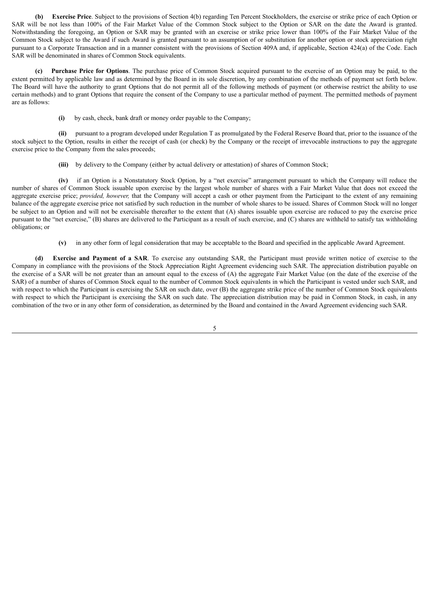**(b) Exercise Price**. Subject to the provisions of Section 4(b) regarding Ten Percent Stockholders, the exercise or strike price of each Option or SAR will be not less than 100% of the Fair Market Value of the Common Stock subject to the Option or SAR on the date the Award is granted. Notwithstanding the foregoing, an Option or SAR may be granted with an exercise or strike price lower than 100% of the Fair Market Value of the Common Stock subject to the Award if such Award is granted pursuant to an assumption of or substitution for another option or stock appreciation right pursuant to a Corporate Transaction and in a manner consistent with the provisions of Section 409A and, if applicable, Section 424(a) of the Code. Each SAR will be denominated in shares of Common Stock equivalents.

**(c) Purchase Price for Options**. The purchase price of Common Stock acquired pursuant to the exercise of an Option may be paid, to the extent permitted by applicable law and as determined by the Board in its sole discretion, by any combination of the methods of payment set forth below. The Board will have the authority to grant Options that do not permit all of the following methods of payment (or otherwise restrict the ability to use certain methods) and to grant Options that require the consent of the Company to use a particular method of payment. The permitted methods of payment are as follows:

**(i)** by cash, check, bank draft or money order payable to the Company;

**(ii)** pursuant to a program developed under Regulation T as promulgated by the Federal Reserve Board that, prior to the issuance of the stock subject to the Option, results in either the receipt of cash (or check) by the Company or the receipt of irrevocable instructions to pay the aggregate exercise price to the Company from the sales proceeds;

**(iii)** by delivery to the Company (either by actual delivery or attestation) of shares of Common Stock;

**(iv)** if an Option is a Nonstatutory Stock Option, by a "net exercise" arrangement pursuant to which the Company will reduce the number of shares of Common Stock issuable upon exercise by the largest whole number of shares with a Fair Market Value that does not exceed the aggregate exercise price; *provided, however,* that the Company will accept a cash or other payment from the Participant to the extent of any remaining balance of the aggregate exercise price not satisfied by such reduction in the number of whole shares to be issued. Shares of Common Stock will no longer be subject to an Option and will not be exercisable thereafter to the extent that (A) shares issuable upon exercise are reduced to pay the exercise price pursuant to the "net exercise," (B) shares are delivered to the Participant as a result of such exercise, and (C) shares are withheld to satisfy tax withholding obligations; or

**(v)** in any other form of legal consideration that may be acceptable to the Board and specified in the applicable Award Agreement.

**(d) Exercise and Payment of a SAR**. To exercise any outstanding SAR, the Participant must provide written notice of exercise to the Company in compliance with the provisions of the Stock Appreciation Right Agreement evidencing such SAR. The appreciation distribution payable on the exercise of a SAR will be not greater than an amount equal to the excess of (A) the aggregate Fair Market Value (on the date of the exercise of the SAR) of a number of shares of Common Stock equal to the number of Common Stock equivalents in which the Participant is vested under such SAR, and with respect to which the Participant is exercising the SAR on such date, over (B) the aggregate strike price of the number of Common Stock equivalents with respect to which the Participant is exercising the SAR on such date. The appreciation distribution may be paid in Common Stock, in cash, in any combination of the two or in any other form of consideration, as determined by the Board and contained in the Award Agreement evidencing such SAR.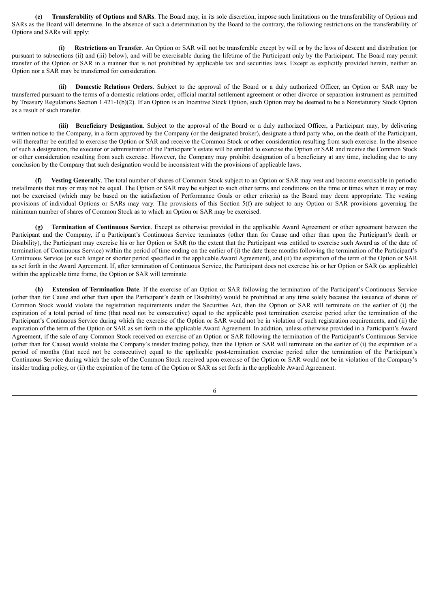**(e) Transferability of Options and SARs**. The Board may, in its sole discretion, impose such limitations on the transferability of Options and SARs as the Board will determine. In the absence of such a determination by the Board to the contrary, the following restrictions on the transferability of Options and SARs will apply:

**(i) Restrictions on Transfer**. An Option or SAR will not be transferable except by will or by the laws of descent and distribution (or pursuant to subsections (ii) and (iii) below), and will be exercisable during the lifetime of the Participant only by the Participant. The Board may permit transfer of the Option or SAR in a manner that is not prohibited by applicable tax and securities laws. Except as explicitly provided herein, neither an Option nor a SAR may be transferred for consideration.

**(ii) Domestic Relations Orders**. Subject to the approval of the Board or a duly authorized Officer, an Option or SAR may be transferred pursuant to the terms of a domestic relations order, official marital settlement agreement or other divorce or separation instrument as permitted by Treasury Regulations Section 1.421-1(b)(2). If an Option is an Incentive Stock Option, such Option may be deemed to be a Nonstatutory Stock Option as a result of such transfer.

**(iii) Beneficiary Designation**. Subject to the approval of the Board or a duly authorized Officer, a Participant may, by delivering written notice to the Company, in a form approved by the Company (or the designated broker), designate a third party who, on the death of the Participant, will thereafter be entitled to exercise the Option or SAR and receive the Common Stock or other consideration resulting from such exercise. In the absence of such a designation, the executor or administrator of the Participant's estate will be entitled to exercise the Option or SAR and receive the Common Stock or other consideration resulting from such exercise. However, the Company may prohibit designation of a beneficiary at any time, including due to any conclusion by the Company that such designation would be inconsistent with the provisions of applicable laws.

**(f) Vesting Generally**. The total number of shares of Common Stock subject to an Option or SAR may vest and become exercisable in periodic installments that may or may not be equal. The Option or SAR may be subject to such other terms and conditions on the time or times when it may or may not be exercised (which may be based on the satisfaction of Performance Goals or other criteria) as the Board may deem appropriate. The vesting provisions of individual Options or SARs may vary. The provisions of this Section 5(f) are subject to any Option or SAR provisions governing the minimum number of shares of Common Stock as to which an Option or SAR may be exercised.

**(g) Termination of Continuous Service**. Except as otherwise provided in the applicable Award Agreement or other agreement between the Participant and the Company, if a Participant's Continuous Service terminates (other than for Cause and other than upon the Participant's death or Disability), the Participant may exercise his or her Option or SAR (to the extent that the Participant was entitled to exercise such Award as of the date of termination of Continuous Service) within the period of time ending on the earlier of (i) the date three months following the termination of the Participant's Continuous Service (or such longer or shorter period specified in the applicable Award Agreement), and (ii) the expiration of the term of the Option or SAR as set forth in the Award Agreement. If, after termination of Continuous Service, the Participant does not exercise his or her Option or SAR (as applicable) within the applicable time frame, the Option or SAR will terminate.

**(h) Extension of Termination Date**. If the exercise of an Option or SAR following the termination of the Participant's Continuous Service (other than for Cause and other than upon the Participant's death or Disability) would be prohibited at any time solely because the issuance of shares of Common Stock would violate the registration requirements under the Securities Act, then the Option or SAR will terminate on the earlier of (i) the expiration of a total period of time (that need not be consecutive) equal to the applicable post termination exercise period after the termination of the Participant's Continuous Service during which the exercise of the Option or SAR would not be in violation of such registration requirements, and (ii) the expiration of the term of the Option or SAR as set forth in the applicable Award Agreement. In addition, unless otherwise provided in a Participant's Award Agreement, if the sale of any Common Stock received on exercise of an Option or SAR following the termination of the Participant's Continuous Service (other than for Cause) would violate the Company's insider trading policy, then the Option or SAR will terminate on the earlier of (i) the expiration of a period of months (that need not be consecutive) equal to the applicable post-termination exercise period after the termination of the Participant's Continuous Service during which the sale of the Common Stock received upon exercise of the Option or SAR would not be in violation of the Company's insider trading policy, or (ii) the expiration of the term of the Option or SAR as set forth in the applicable Award Agreement.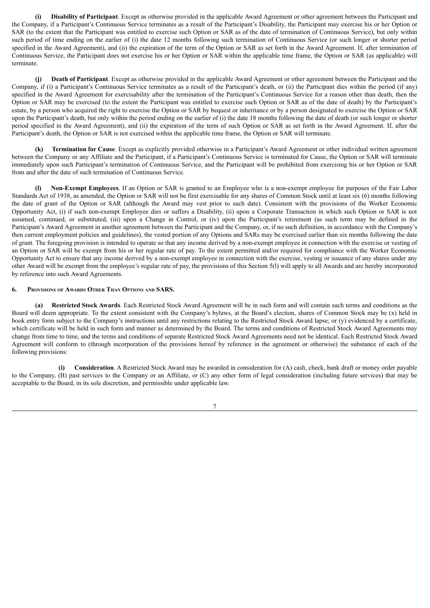**(i) Disability of Participant**. Except as otherwise provided in the applicable Award Agreement or other agreement between the Participant and the Company, if a Participant's Continuous Service terminates as a result of the Participant's Disability, the Participant may exercise his or her Option or SAR (to the extent that the Participant was entitled to exercise such Option or SAR as of the date of termination of Continuous Service), but only within such period of time ending on the earlier of (i) the date 12 months following such termination of Continuous Service (or such longer or shorter period specified in the Award Agreement), and (ii) the expiration of the term of the Option or SAR as set forth in the Award Agreement. If, after termination of Continuous Service, the Participant does not exercise his or her Option or SAR within the applicable time frame, the Option or SAR (as applicable) will terminate.

**(j) Death of Participant**. Except as otherwise provided in the applicable Award Agreement or other agreement between the Participant and the Company, if (i) a Participant's Continuous Service terminates as a result of the Participant's death, or (ii) the Participant dies within the period (if any) specified in the Award Agreement for exercisability after the termination of the Participant's Continuous Service for a reason other than death, then the Option or SAR may be exercised (to the extent the Participant was entitled to exercise such Option or SAR as of the date of death) by the Participant's estate, by a person who acquired the right to exercise the Option or SAR by bequest or inheritance or by a person designated to exercise the Option or SAR upon the Participant's death, but only within the period ending on the earlier of (i) the date 18 months following the date of death (or such longer or shorter period specified in the Award Agreement), and (ii) the expiration of the term of such Option or SAR as set forth in the Award Agreement. If, after the Participant's death, the Option or SAR is not exercised within the applicable time frame, the Option or SAR will terminate.

**(k) Termination for Cause**. Except as explicitly provided otherwise in a Participant's Award Agreement or other individual written agreement between the Company or any Affiliate and the Participant, if a Participant's Continuous Service is terminated for Cause, the Option or SAR will terminate immediately upon such Participant's termination of Continuous Service, and the Participant will be prohibited from exercising his or her Option or SAR from and after the date of such termination of Continuous Service.

**(l) Non-Exempt Employees**. If an Option or SAR is granted to an Employee who is a non-exempt employee for purposes of the Fair Labor Standards Act of 1938, as amended, the Option or SAR will not be first exercisable for any shares of Common Stock until at least six (6) months following the date of grant of the Option or SAR (although the Award may vest prior to such date). Consistent with the provisions of the Worker Economic Opportunity Act, (i) if such non-exempt Employee dies or suffers a Disability, (ii) upon a Corporate Transaction in which such Option or SAR is not assumed, continued, or substituted, (iii) upon a Change in Control, or (iv) upon the Participant's retirement (as such term may be defined in the Participant's Award Agreement in another agreement between the Participant and the Company, or, if no such definition, in accordance with the Company's then current employment policies and guidelines), the vested portion of any Options and SARs may be exercised earlier than six months following the date of grant. The foregoing provision is intended to operate so that any income derived by a non-exempt employee in connection with the exercise or vesting of an Option or SAR will be exempt from his or her regular rate of pay. To the extent permitted and/or required for compliance with the Worker Economic Opportunity Act to ensure that any income derived by a non-exempt employee in connection with the exercise, vesting or issuance of any shares under any other Award will be exempt from the employee's regular rate of pay, the provisions of this Section 5(l) will apply to all Awards and are hereby incorporated by reference into such Award Agreements.

### **6. Provisions of Awards Other Than Options and SARS.**

**(a) Restricted Stock Awards**. Each Restricted Stock Award Agreement will be in such form and will contain such terms and conditions as the Board will deem appropriate. To the extent consistent with the Company's bylaws, at the Board's election, shares of Common Stock may be (x) held in book entry form subject to the Company's instructions until any restrictions relating to the Restricted Stock Award lapse; or (y) evidenced by a certificate, which certificate will be held in such form and manner as determined by the Board. The terms and conditions of Restricted Stock Award Agreements may change from time to time, and the terms and conditions of separate Restricted Stock Award Agreements need not be identical. Each Restricted Stock Award Agreement will conform to (through incorporation of the provisions hereof by reference in the agreement or otherwise) the substance of each of the following provisions:

**(i) Consideration**. A Restricted Stock Award may be awarded in consideration for (A) cash, check, bank draft or money order payable to the Company, (B) past services to the Company or an Affiliate, or (C) any other form of legal consideration (including future services) that may be acceptable to the Board, in its sole discretion, and permissible under applicable law.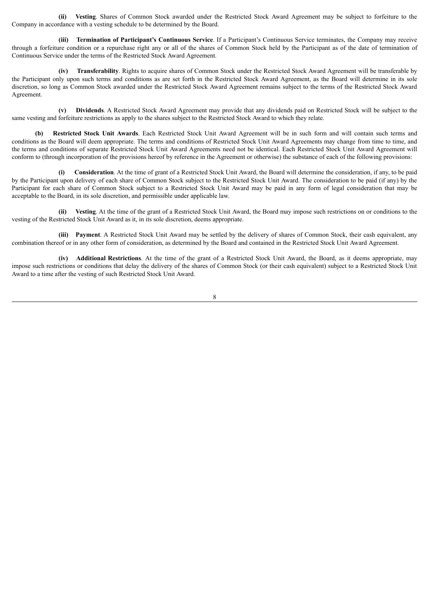**(ii) Vesting**. Shares of Common Stock awarded under the Restricted Stock Award Agreement may be subject to forfeiture to the Company in accordance with a vesting schedule to be determined by the Board.

**(iii) Termination of Participant's Continuous Service**. If a Participant's Continuous Service terminates, the Company may receive through a forfeiture condition or a repurchase right any or all of the shares of Common Stock held by the Participant as of the date of termination of Continuous Service under the terms of the Restricted Stock Award Agreement.

**(iv) Transferability**. Rights to acquire shares of Common Stock under the Restricted Stock Award Agreement will be transferable by the Participant only upon such terms and conditions as are set forth in the Restricted Stock Award Agreement, as the Board will determine in its sole discretion, so long as Common Stock awarded under the Restricted Stock Award Agreement remains subject to the terms of the Restricted Stock Award Agreement.

**(v) Dividends**. A Restricted Stock Award Agreement may provide that any dividends paid on Restricted Stock will be subject to the same vesting and forfeiture restrictions as apply to the shares subject to the Restricted Stock Award to which they relate.

**(b) Restricted Stock Unit Awards**. Each Restricted Stock Unit Award Agreement will be in such form and will contain such terms and conditions as the Board will deem appropriate. The terms and conditions of Restricted Stock Unit Award Agreements may change from time to time, and the terms and conditions of separate Restricted Stock Unit Award Agreements need not be identical. Each Restricted Stock Unit Award Agreement will conform to (through incorporation of the provisions hereof by reference in the Agreement or otherwise) the substance of each of the following provisions:

**(i) Consideration**. At the time of grant of a Restricted Stock Unit Award, the Board will determine the consideration, if any, to be paid by the Participant upon delivery of each share of Common Stock subject to the Restricted Stock Unit Award. The consideration to be paid (if any) by the Participant for each share of Common Stock subject to a Restricted Stock Unit Award may be paid in any form of legal consideration that may be acceptable to the Board, in its sole discretion, and permissible under applicable law.

**(ii) Vesting**. At the time of the grant of a Restricted Stock Unit Award, the Board may impose such restrictions on or conditions to the vesting of the Restricted Stock Unit Award as it, in its sole discretion, deems appropriate.

**(iii) Payment**. A Restricted Stock Unit Award may be settled by the delivery of shares of Common Stock, their cash equivalent, any combination thereof or in any other form of consideration, as determined by the Board and contained in the Restricted Stock Unit Award Agreement.

**(iv) Additional Restrictions**. At the time of the grant of a Restricted Stock Unit Award, the Board, as it deems appropriate, may impose such restrictions or conditions that delay the delivery of the shares of Common Stock (or their cash equivalent) subject to a Restricted Stock Unit Award to a time after the vesting of such Restricted Stock Unit Award.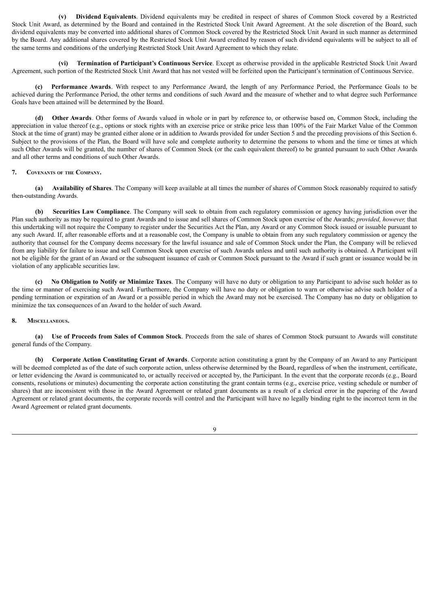**(v) Dividend Equivalents**. Dividend equivalents may be credited in respect of shares of Common Stock covered by a Restricted Stock Unit Award, as determined by the Board and contained in the Restricted Stock Unit Award Agreement. At the sole discretion of the Board, such dividend equivalents may be converted into additional shares of Common Stock covered by the Restricted Stock Unit Award in such manner as determined by the Board. Any additional shares covered by the Restricted Stock Unit Award credited by reason of such dividend equivalents will be subject to all of the same terms and conditions of the underlying Restricted Stock Unit Award Agreement to which they relate.

**(vi) Termination of Participant's Continuous Service**. Except as otherwise provided in the applicable Restricted Stock Unit Award Agreement, such portion of the Restricted Stock Unit Award that has not vested will be forfeited upon the Participant's termination of Continuous Service.

**(c) Performance Awards**. With respect to any Performance Award, the length of any Performance Period, the Performance Goals to be achieved during the Performance Period, the other terms and conditions of such Award and the measure of whether and to what degree such Performance Goals have been attained will be determined by the Board.

**(d) Other Awards**. Other forms of Awards valued in whole or in part by reference to, or otherwise based on, Common Stock, including the appreciation in value thereof (e.g., options or stock rights with an exercise price or strike price less than 100% of the Fair Market Value of the Common Stock at the time of grant) may be granted either alone or in addition to Awards provided for under Section 5 and the preceding provisions of this Section 6. Subject to the provisions of the Plan, the Board will have sole and complete authority to determine the persons to whom and the time or times at which such Other Awards will be granted, the number of shares of Common Stock (or the cash equivalent thereof) to be granted pursuant to such Other Awards and all other terms and conditions of such Other Awards.

# **7. Covenants of the Company.**

**(a) Availability of Shares**. The Company will keep available at all times the number of shares of Common Stock reasonably required to satisfy then-outstanding Awards.

**(b) Securities Law Compliance**. The Company will seek to obtain from each regulatory commission or agency having jurisdiction over the Plan such authority as may be required to grant Awards and to issue and sell shares of Common Stock upon exercise of the Awards; *provided, however,* that this undertaking will not require the Company to register under the Securities Act the Plan, any Award or any Common Stock issued or issuable pursuant to any such Award. If, after reasonable efforts and at a reasonable cost, the Company is unable to obtain from any such regulatory commission or agency the authority that counsel for the Company deems necessary for the lawful issuance and sale of Common Stock under the Plan, the Company will be relieved from any liability for failure to issue and sell Common Stock upon exercise of such Awards unless and until such authority is obtained. A Participant will not be eligible for the grant of an Award or the subsequent issuance of cash or Common Stock pursuant to the Award if such grant or issuance would be in violation of any applicable securities law.

**(c) No Obligation to Notify or Minimize Taxes**. The Company will have no duty or obligation to any Participant to advise such holder as to the time or manner of exercising such Award. Furthermore, the Company will have no duty or obligation to warn or otherwise advise such holder of a pending termination or expiration of an Award or a possible period in which the Award may not be exercised. The Company has no duty or obligation to minimize the tax consequences of an Award to the holder of such Award.

#### **8. Miscellaneous.**

**(a) Use of Proceeds from Sales of Common Stock**. Proceeds from the sale of shares of Common Stock pursuant to Awards will constitute general funds of the Company.

**(b) Corporate Action Constituting Grant of Awards**. Corporate action constituting a grant by the Company of an Award to any Participant will be deemed completed as of the date of such corporate action, unless otherwise determined by the Board, regardless of when the instrument, certificate, or letter evidencing the Award is communicated to, or actually received or accepted by, the Participant. In the event that the corporate records (e.g., Board consents, resolutions or minutes) documenting the corporate action constituting the grant contain terms (e.g., exercise price, vesting schedule or number of shares) that are inconsistent with those in the Award Agreement or related grant documents as a result of a clerical error in the papering of the Award Agreement or related grant documents, the corporate records will control and the Participant will have no legally binding right to the incorrect term in the Award Agreement or related grant documents.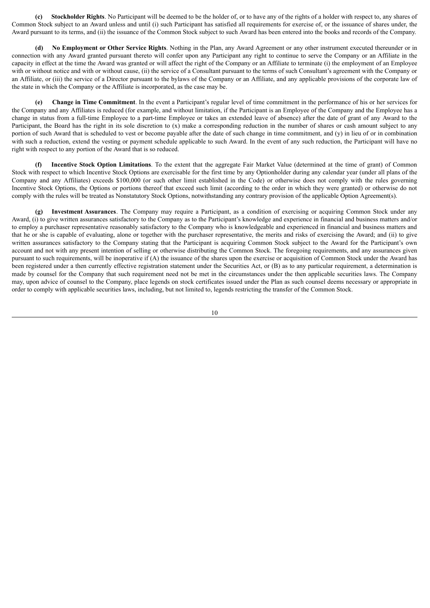**(c) Stockholder Rights**. No Participant will be deemed to be the holder of, or to have any of the rights of a holder with respect to, any shares of Common Stock subject to an Award unless and until (i) such Participant has satisfied all requirements for exercise of, or the issuance of shares under, the Award pursuant to its terms, and (ii) the issuance of the Common Stock subject to such Award has been entered into the books and records of the Company.

**(d) No Employment or Other Service Rights**. Nothing in the Plan, any Award Agreement or any other instrument executed thereunder or in connection with any Award granted pursuant thereto will confer upon any Participant any right to continue to serve the Company or an Affiliate in the capacity in effect at the time the Award was granted or will affect the right of the Company or an Affiliate to terminate (i) the employment of an Employee with or without notice and with or without cause, (ii) the service of a Consultant pursuant to the terms of such Consultant's agreement with the Company or an Affiliate, or (iii) the service of a Director pursuant to the bylaws of the Company or an Affiliate, and any applicable provisions of the corporate law of the state in which the Company or the Affiliate is incorporated, as the case may be.

**(e) Change in Time Commitment**. In the event a Participant's regular level of time commitment in the performance of his or her services for the Company and any Affiliates is reduced (for example, and without limitation, if the Participant is an Employee of the Company and the Employee has a change in status from a full-time Employee to a part-time Employee or takes an extended leave of absence) after the date of grant of any Award to the Participant, the Board has the right in its sole discretion to (x) make a corresponding reduction in the number of shares or cash amount subject to any portion of such Award that is scheduled to vest or become payable after the date of such change in time commitment, and (y) in lieu of or in combination with such a reduction, extend the vesting or payment schedule applicable to such Award. In the event of any such reduction, the Participant will have no right with respect to any portion of the Award that is so reduced.

**(f) Incentive Stock Option Limitations**. To the extent that the aggregate Fair Market Value (determined at the time of grant) of Common Stock with respect to which Incentive Stock Options are exercisable for the first time by any Optionholder during any calendar year (under all plans of the Company and any Affiliates) exceeds \$100,000 (or such other limit established in the Code) or otherwise does not comply with the rules governing Incentive Stock Options, the Options or portions thereof that exceed such limit (according to the order in which they were granted) or otherwise do not comply with the rules will be treated as Nonstatutory Stock Options, notwithstanding any contrary provision of the applicable Option Agreement(s).

**(g) Investment Assurances**. The Company may require a Participant, as a condition of exercising or acquiring Common Stock under any Award, (i) to give written assurances satisfactory to the Company as to the Participant's knowledge and experience in financial and business matters and/or to employ a purchaser representative reasonably satisfactory to the Company who is knowledgeable and experienced in financial and business matters and that he or she is capable of evaluating, alone or together with the purchaser representative, the merits and risks of exercising the Award; and (ii) to give written assurances satisfactory to the Company stating that the Participant is acquiring Common Stock subject to the Award for the Participant's own account and not with any present intention of selling or otherwise distributing the Common Stock. The foregoing requirements, and any assurances given pursuant to such requirements, will be inoperative if (A) the issuance of the shares upon the exercise or acquisition of Common Stock under the Award has been registered under a then currently effective registration statement under the Securities Act, or (B) as to any particular requirement, a determination is made by counsel for the Company that such requirement need not be met in the circumstances under the then applicable securities laws. The Company may, upon advice of counsel to the Company, place legends on stock certificates issued under the Plan as such counsel deems necessary or appropriate in order to comply with applicable securities laws, including, but not limited to, legends restricting the transfer of the Common Stock.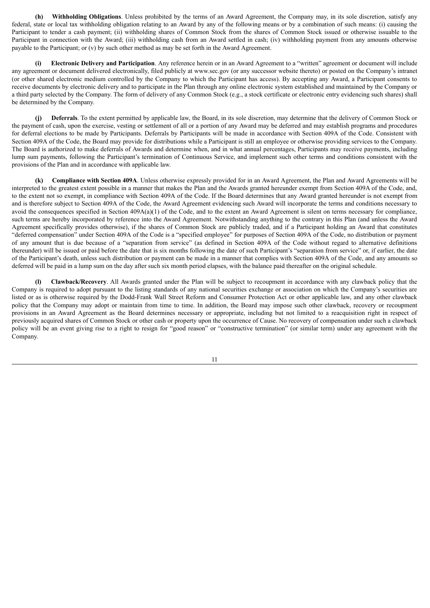**(h) Withholding Obligations**. Unless prohibited by the terms of an Award Agreement, the Company may, in its sole discretion, satisfy any federal, state or local tax withholding obligation relating to an Award by any of the following means or by a combination of such means: (i) causing the Participant to tender a cash payment; (ii) withholding shares of Common Stock from the shares of Common Stock issued or otherwise issuable to the Participant in connection with the Award; (iii) withholding cash from an Award settled in cash; (iv) withholding payment from any amounts otherwise payable to the Participant; or (v) by such other method as may be set forth in the Award Agreement.

**(i) Electronic Delivery and Participation**. Any reference herein or in an Award Agreement to a "written" agreement or document will include any agreement or document delivered electronically, filed publicly at www.sec.gov (or any successor website thereto) or posted on the Company's intranet (or other shared electronic medium controlled by the Company to which the Participant has access). By accepting any Award, a Participant consents to receive documents by electronic delivery and to participate in the Plan through any online electronic system established and maintained by the Company or a third party selected by the Company. The form of delivery of any Common Stock (e.g., a stock certificate or electronic entry evidencing such shares) shall be determined by the Company.

**(j) Deferrals**. To the extent permitted by applicable law, the Board, in its sole discretion, may determine that the delivery of Common Stock or the payment of cash, upon the exercise, vesting or settlement of all or a portion of any Award may be deferred and may establish programs and procedures for deferral elections to be made by Participants. Deferrals by Participants will be made in accordance with Section 409A of the Code. Consistent with Section 409A of the Code, the Board may provide for distributions while a Participant is still an employee or otherwise providing services to the Company. The Board is authorized to make deferrals of Awards and determine when, and in what annual percentages, Participants may receive payments, including lump sum payments, following the Participant's termination of Continuous Service, and implement such other terms and conditions consistent with the provisions of the Plan and in accordance with applicable law.

**(k) Compliance with Section 409A**. Unless otherwise expressly provided for in an Award Agreement, the Plan and Award Agreements will be interpreted to the greatest extent possible in a manner that makes the Plan and the Awards granted hereunder exempt from Section 409A of the Code, and, to the extent not so exempt, in compliance with Section 409A of the Code. If the Board determines that any Award granted hereunder is not exempt from and is therefore subject to Section 409A of the Code, the Award Agreement evidencing such Award will incorporate the terms and conditions necessary to avoid the consequences specified in Section 409A(a)(1) of the Code, and to the extent an Award Agreement is silent on terms necessary for compliance, such terms are hereby incorporated by reference into the Award Agreement. Notwithstanding anything to the contrary in this Plan (and unless the Award Agreement specifically provides otherwise), if the shares of Common Stock are publicly traded, and if a Participant holding an Award that constitutes "deferred compensation" under Section 409A of the Code is a "specified employee" for purposes of Section 409A of the Code, no distribution or payment of any amount that is due because of a "separation from service" (as defined in Section 409A of the Code without regard to alternative definitions thereunder) will be issued or paid before the date that is six months following the date of such Participant's "separation from service" or, if earlier, the date of the Participant's death, unless such distribution or payment can be made in a manner that complies with Section 409A of the Code, and any amounts so deferred will be paid in a lump sum on the day after such six month period elapses, with the balance paid thereafter on the original schedule.

**(l) Clawback/Recovery**. All Awards granted under the Plan will be subject to recoupment in accordance with any clawback policy that the Company is required to adopt pursuant to the listing standards of any national securities exchange or association on which the Company's securities are listed or as is otherwise required by the Dodd-Frank Wall Street Reform and Consumer Protection Act or other applicable law, and any other clawback policy that the Company may adopt or maintain from time to time. In addition, the Board may impose such other clawback, recovery or recoupment provisions in an Award Agreement as the Board determines necessary or appropriate, including but not limited to a reacquisition right in respect of previously acquired shares of Common Stock or other cash or property upon the occurrence of Cause. No recovery of compensation under such a clawback policy will be an event giving rise to a right to resign for "good reason" or "constructive termination" (or similar term) under any agreement with the Company.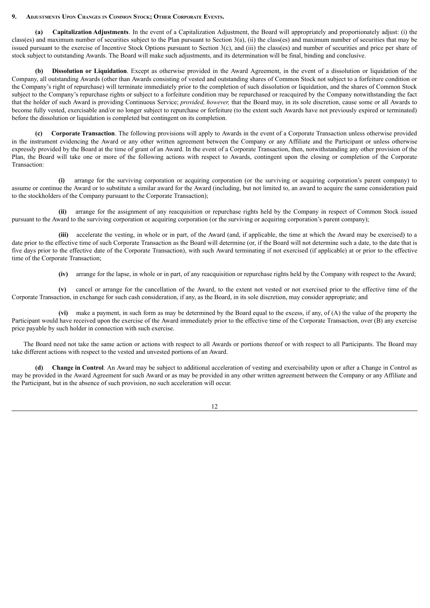### **9. Adjustments Upon Changes in Common Stock; Other Corporate Events.**

**(a) Capitalization Adjustments**. In the event of a Capitalization Adjustment, the Board will appropriately and proportionately adjust: (i) the class(es) and maximum number of securities subject to the Plan pursuant to Section 3(a), (ii) the class(es) and maximum number of securities that may be issued pursuant to the exercise of Incentive Stock Options pursuant to Section 3(c), and (iii) the class(es) and number of securities and price per share of stock subject to outstanding Awards. The Board will make such adjustments, and its determination will be final, binding and conclusive.

**(b) Dissolution or Liquidation**. Except as otherwise provided in the Award Agreement, in the event of a dissolution or liquidation of the Company, all outstanding Awards (other than Awards consisting of vested and outstanding shares of Common Stock not subject to a forfeiture condition or the Company's right of repurchase) will terminate immediately prior to the completion of such dissolution or liquidation, and the shares of Common Stock subject to the Company's repurchase rights or subject to a forfeiture condition may be repurchased or reacquired by the Company notwithstanding the fact that the holder of such Award is providing Continuous Service; *provided, however,* that the Board may, in its sole discretion, cause some or all Awards to become fully vested, exercisable and/or no longer subject to repurchase or forfeiture (to the extent such Awards have not previously expired or terminated) before the dissolution or liquidation is completed but contingent on its completion.

**(c) Corporate Transaction**. The following provisions will apply to Awards in the event of a Corporate Transaction unless otherwise provided in the instrument evidencing the Award or any other written agreement between the Company or any Affiliate and the Participant or unless otherwise expressly provided by the Board at the time of grant of an Award. In the event of a Corporate Transaction, then, notwithstanding any other provision of the Plan, the Board will take one or more of the following actions with respect to Awards, contingent upon the closing or completion of the Corporate Transaction:

**(i)** arrange for the surviving corporation or acquiring corporation (or the surviving or acquiring corporation's parent company) to assume or continue the Award or to substitute a similar award for the Award (including, but not limited to, an award to acquire the same consideration paid to the stockholders of the Company pursuant to the Corporate Transaction);

**(ii)** arrange for the assignment of any reacquisition or repurchase rights held by the Company in respect of Common Stock issued pursuant to the Award to the surviving corporation or acquiring corporation (or the surviving or acquiring corporation's parent company);

**(iii)** accelerate the vesting, in whole or in part, of the Award (and, if applicable, the time at which the Award may be exercised) to a date prior to the effective time of such Corporate Transaction as the Board will determine (or, if the Board will not determine such a date, to the date that is five days prior to the effective date of the Corporate Transaction), with such Award terminating if not exercised (if applicable) at or prior to the effective time of the Corporate Transaction;

**(iv)** arrange for the lapse, in whole or in part, of any reacquisition or repurchase rights held by the Company with respect to the Award;

**(v)** cancel or arrange for the cancellation of the Award, to the extent not vested or not exercised prior to the effective time of the Corporate Transaction, in exchange for such cash consideration, if any, as the Board, in its sole discretion, may consider appropriate; and

**(vi)** make a payment, in such form as may be determined by the Board equal to the excess, if any, of (A) the value of the property the Participant would have received upon the exercise of the Award immediately prior to the effective time of the Corporate Transaction, over (B) any exercise price payable by such holder in connection with such exercise.

The Board need not take the same action or actions with respect to all Awards or portions thereof or with respect to all Participants. The Board may take different actions with respect to the vested and unvested portions of an Award.

**(d) Change in Control**. An Award may be subject to additional acceleration of vesting and exercisability upon or after a Change in Control as may be provided in the Award Agreement for such Award or as may be provided in any other written agreement between the Company or any Affiliate and the Participant, but in the absence of such provision, no such acceleration will occur.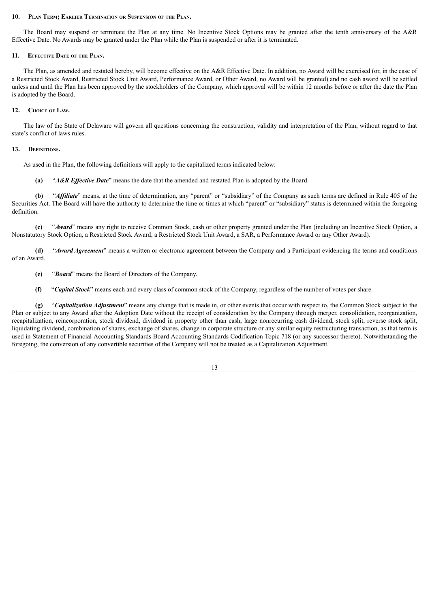#### **10. Plan Term; Earlier Termination or Suspension of the Plan.**

The Board may suspend or terminate the Plan at any time. No Incentive Stock Options may be granted after the tenth anniversary of the A&R Effective Date. No Awards may be granted under the Plan while the Plan is suspended or after it is terminated.

#### **11. Effective Date of the Plan.**

The Plan, as amended and restated hereby, will become effective on the A&R Effective Date. In addition, no Award will be exercised (or, in the case of a Restricted Stock Award, Restricted Stock Unit Award, Performance Award, or Other Award, no Award will be granted) and no cash award will be settled unless and until the Plan has been approved by the stockholders of the Company, which approval will be within 12 months before or after the date the Plan is adopted by the Board.

### **12. Choice of Law.**

The law of the State of Delaware will govern all questions concerning the construction, validity and interpretation of the Plan, without regard to that state's conflict of laws rules.

#### **13. Definitions.**

As used in the Plan, the following definitions will apply to the capitalized terms indicated below:

**(a)** "*A&R Ef ective Date*" means the date that the amended and restated Plan is adopted by the Board.

(b) "*Affiliate*" means, at the time of determination, any "parent" or "subsidiary" of the Company as such terms are defined in Rule 405 of the Securities Act. The Board will have the authority to determine the time or times at which "parent" or "subsidiary" status is determined within the foregoing definition.

**(c)** "*Award*" means any right to receive Common Stock, cash or other property granted under the Plan (including an Incentive Stock Option, a Nonstatutory Stock Option, a Restricted Stock Award, a Restricted Stock Unit Award, a SAR, a Performance Award or any Other Award).

**(d)** "*Award Agreement*" means a written or electronic agreement between the Company and a Participant evidencing the terms and conditions of an Award.

- **(e)** "*Board*" means the Board of Directors of the Company.
- **(f)** "*Capital Stock*" means each and every class of common stock of the Company, regardless of the number of votes per share.

**(g)** "*Capitalization Adjustment*" means any change that is made in, or other events that occur with respect to, the Common Stock subject to the Plan or subject to any Award after the Adoption Date without the receipt of consideration by the Company through merger, consolidation, reorganization, recapitalization, reincorporation, stock dividend, dividend in property other than cash, large nonrecurring cash dividend, stock split, reverse stock split, liquidating dividend, combination of shares, exchange of shares, change in corporate structure or any similar equity restructuring transaction, as that term is used in Statement of Financial Accounting Standards Board Accounting Standards Codification Topic 718 (or any successor thereto). Notwithstanding the foregoing, the conversion of any convertible securities of the Company will not be treated as a Capitalization Adjustment.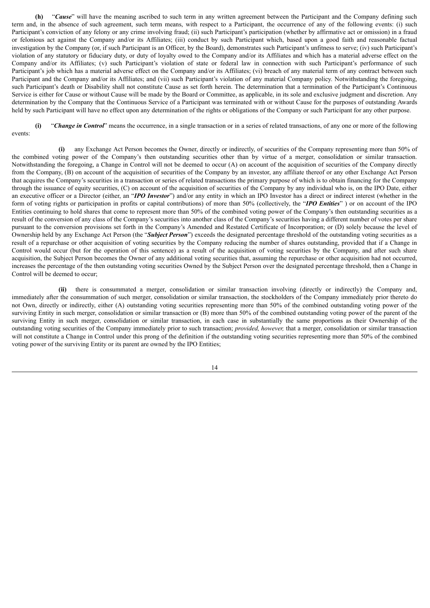**(h)** "*Cause*" will have the meaning ascribed to such term in any written agreement between the Participant and the Company defining such term and, in the absence of such agreement, such term means, with respect to a Participant, the occurrence of any of the following events: (i) such Participant's conviction of any felony or any crime involving fraud; (ii) such Participant's participation (whether by affirmative act or omission) in a fraud or felonious act against the Company and/or its Affiliates; (iii) conduct by such Participant which, based upon a good faith and reasonable factual investigation by the Company (or, if such Participant is an Officer, by the Board), demonstrates such Participant's unfitness to serve; (iv) such Participant's violation of any statutory or fiduciary duty, or duty of loyalty owed to the Company and/or its Affiliates and which has a material adverse effect on the Company and/or its Affiliates; (v) such Participant's violation of state or federal law in connection with such Participant's performance of such Participant's job which has a material adverse effect on the Company and/or its Affiliates: (vi) breach of any material term of any contract between such Participant and the Company and/or its Affiliates; and (vii) such Participant's violation of any material Company policy. Notwithstanding the foregoing, such Participant's death or Disability shall not constitute Cause as set forth herein. The determination that a termination of the Participant's Continuous Service is either for Cause or without Cause will be made by the Board or Committee, as applicable, in its sole and exclusive judgment and discretion. Any determination by the Company that the Continuous Service of a Participant was terminated with or without Cause for the purposes of outstanding Awards held by such Participant will have no effect upon any determination of the rights or obligations of the Company or such Participant for any other purpose.

**(i)** "*Change in Control*" means the occurrence, in a single transaction or in a series of related transactions, of any one or more of the following events:

**(i)** any Exchange Act Person becomes the Owner, directly or indirectly, of securities of the Company representing more than 50% of the combined voting power of the Company's then outstanding securities other than by virtue of a merger, consolidation or similar transaction. Notwithstanding the foregoing, a Change in Control will not be deemed to occur (A) on account of the acquisition of securities of the Company directly from the Company, (B) on account of the acquisition of securities of the Company by an investor, any affiliate thereof or any other Exchange Act Person that acquires the Company's securities in a transaction or series of related transactions the primary purpose of which is to obtain financing for the Company through the issuance of equity securities, (C) on account of the acquisition of securities of the Company by any individual who is, on the IPO Date, either an executive officer or a Director (either, an "*IPO Investor*") and/or any entity in which an IPO Investor has a direct or indirect interest (whether in the form of voting rights or participation in profits or capital contributions) of more than 50% (collectively, the "*IPO Entities*" ) or on account of the IPO Entities continuing to hold shares that come to represent more than 50% of the combined voting power of the Company's then outstanding securities as a result of the conversion of any class of the Company's securities into another class of the Company's securities having a different number of votes per share pursuant to the conversion provisions set forth in the Company's Amended and Restated Certificate of Incorporation; or (D) solely because the level of Ownership held by any Exchange Act Person (the "*Subject Person*") exceeds the designated percentage threshold of the outstanding voting securities as a result of a repurchase or other acquisition of voting securities by the Company reducing the number of shares outstanding, provided that if a Change in Control would occur (but for the operation of this sentence) as a result of the acquisition of voting securities by the Company, and after such share acquisition, the Subject Person becomes the Owner of any additional voting securities that, assuming the repurchase or other acquisition had not occurred, increases the percentage of the then outstanding voting securities Owned by the Subject Person over the designated percentage threshold, then a Change in Control will be deemed to occur;

**(ii)** there is consummated a merger, consolidation or similar transaction involving (directly or indirectly) the Company and, immediately after the consummation of such merger, consolidation or similar transaction, the stockholders of the Company immediately prior thereto do not Own, directly or indirectly, either (A) outstanding voting securities representing more than 50% of the combined outstanding voting power of the surviving Entity in such merger, consolidation or similar transaction or (B) more than 50% of the combined outstanding voting power of the parent of the surviving Entity in such merger, consolidation or similar transaction, in each case in substantially the same proportions as their Ownership of the outstanding voting securities of the Company immediately prior to such transaction; *provided, however,* that a merger, consolidation or similar transaction will not constitute a Change in Control under this prong of the definition if the outstanding voting securities representing more than 50% of the combined voting power of the surviving Entity or its parent are owned by the IPO Entities;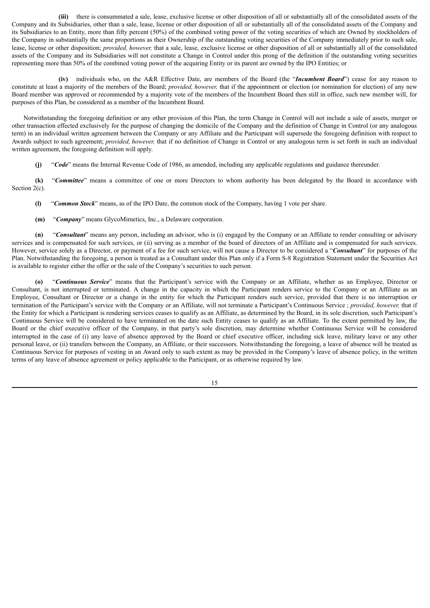**(iii)** there is consummated a sale, lease, exclusive license or other disposition of all or substantially all of the consolidated assets of the Company and its Subsidiaries, other than a sale, lease, license or other disposition of all or substantially all of the consolidated assets of the Company and its Subsidiaries to an Entity, more than fifty percent (50%) of the combined voting power of the voting securities of which are Owned by stockholders of the Company in substantially the same proportions as their Ownership of the outstanding voting securities of the Company immediately prior to such sale, lease, license or other disposition; *provided, however,* that a sale, lease, exclusive license or other disposition of all or substantially all of the consolidated assets of the Company and its Subsidiaries will not constitute a Change in Control under this prong of the definition if the outstanding voting securities representing more than 50% of the combined voting power of the acquiring Entity or its parent are owned by the IPO Entities; or

**(iv)** individuals who, on the A&R Effective Date, are members of the Board (the "*Incumbent Board*") cease for any reason to constitute at least a majority of the members of the Board; *provided, however,* that if the appointment or election (or nomination for election) of any new Board member was approved or recommended by a majority vote of the members of the Incumbent Board then still in office, such new member will, for purposes of this Plan, be considered as a member of the Incumbent Board.

Notwithstanding the foregoing definition or any other provision of this Plan, the term Change in Control will not include a sale of assets, merger or other transaction effected exclusively for the purpose of changing the domicile of the Company and the definition of Change in Control (or any analogous term) in an individual written agreement between the Company or any Affiliate and the Participant will supersede the foregoing definition with respect to Awards subject to such agreement; *provided, however,* that if no definition of Change in Control or any analogous term is set forth in such an individual written agreement, the foregoing definition will apply.

**(j)** "*Code*" means the Internal Revenue Code of 1986, as amended, including any applicable regulations and guidance thereunder.

**(k)** "*Committee*" means a committee of one or more Directors to whom authority has been delegated by the Board in accordance with Section 2(c).

- **(l)** "*Common Stock*" means, as of the IPO Date, the common stock of the Company, having 1 vote per share.
- **(m)** "*Company*" means GlycoMimetics, Inc., a Delaware corporation.

**(n)** "*Consultant*" means any person, including an advisor, who is (i) engaged by the Company or an Affiliate to render consulting or advisory services and is compensated for such services, or (ii) serving as a member of the board of directors of an Affiliate and is compensated for such services. However, service solely as a Director, or payment of a fee for such service, will not cause a Director to be considered a "*Consultant*" for purposes of the Plan. Notwithstanding the foregoing, a person is treated as a Consultant under this Plan only if a Form S-8 Registration Statement under the Securities Act is available to register either the offer or the sale of the Company's securities to such person.

**(o)** "*Continuous Service*" means that the Participant's service with the Company or an Affiliate, whether as an Employee, Director or Consultant, is not interrupted or terminated. A change in the capacity in which the Participant renders service to the Company or an Affiliate as an Employee, Consultant or Director or a change in the entity for which the Participant renders such service, provided that there is no interruption or termination of the Participant's service with the Company or an Affiliate, will not terminate a Participant's Continuous Service ; *provided, however,* that if the Entity for which a Participant is rendering services ceases to qualify as an Affiliate, as determined by the Board, in its sole discretion, such Participant's Continuous Service will be considered to have terminated on the date such Entity ceases to qualify as an Affiliate. To the extent permitted by law, the Board or the chief executive officer of the Company, in that party's sole discretion, may determine whether Continuous Service will be considered interrupted in the case of (i) any leave of absence approved by the Board or chief executive officer, including sick leave, military leave or any other personal leave, or (ii) transfers between the Company, an Affiliate, or their successors. Notwithstanding the foregoing, a leave of absence will be treated as Continuous Service for purposes of vesting in an Award only to such extent as may be provided in the Company's leave of absence policy, in the written terms of any leave of absence agreement or policy applicable to the Participant, or as otherwise required by law.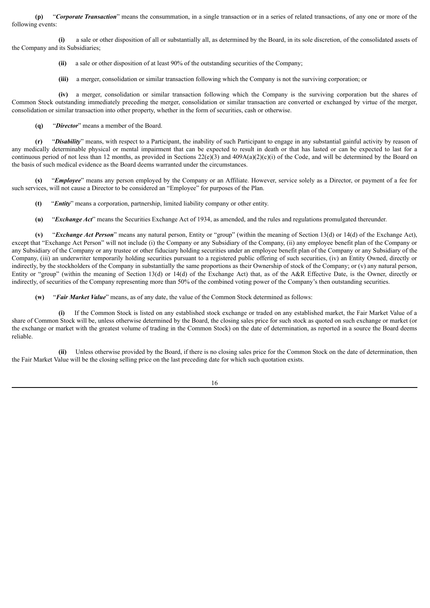**(p)** "*Corporate Transaction*" means the consummation, in a single transaction or in a series of related transactions, of any one or more of the following events:

**(i)** a sale or other disposition of all or substantially all, as determined by the Board, in its sole discretion, of the consolidated assets of the Company and its Subsidiaries;

- **(ii)** a sale or other disposition of at least 90% of the outstanding securities of the Company;
- **(iii)** a merger, consolidation or similar transaction following which the Company is not the surviving corporation; or

**(iv)** a merger, consolidation or similar transaction following which the Company is the surviving corporation but the shares of Common Stock outstanding immediately preceding the merger, consolidation or similar transaction are converted or exchanged by virtue of the merger, consolidation or similar transaction into other property, whether in the form of securities, cash or otherwise.

**(q)** "*Director*" means a member of the Board.

**(r)** "*Disability*" means, with respect to a Participant, the inability of such Participant to engage in any substantial gainful activity by reason of any medically determinable physical or mental impairment that can be expected to result in death or that has lasted or can be expected to last for a continuous period of not less than 12 months, as provided in Sections  $22(e)(3)$  and  $409A(a)(2)(c)(i)$  of the Code, and will be determined by the Board on the basis of such medical evidence as the Board deems warranted under the circumstances.

**(s)** "*Employee*" means any person employed by the Company or an Affiliate. However, service solely as a Director, or payment of a fee for such services, will not cause a Director to be considered an "Employee" for purposes of the Plan.

- **(t)** "*Entity*" means a corporation, partnership, limited liability company or other entity.
- **(u)** "*Exchange Act*" means the Securities Exchange Act of 1934, as amended, and the rules and regulations promulgated thereunder.

**(v)** "*Exchange Act Person*" means any natural person, Entity or "group" (within the meaning of Section 13(d) or 14(d) of the Exchange Act), except that "Exchange Act Person" will not include (i) the Company or any Subsidiary of the Company, (ii) any employee benefit plan of the Company or any Subsidiary of the Company or any trustee or other fiduciary holding securities under an employee benefit plan of the Company or any Subsidiary of the Company, (iii) an underwriter temporarily holding securities pursuant to a registered public offering of such securities, (iv) an Entity Owned, directly or indirectly, by the stockholders of the Company in substantially the same proportions as their Ownership of stock of the Company; or (v) any natural person, Entity or "group" (within the meaning of Section 13(d) or 14(d) of the Exchange Act) that, as of the A&R Effective Date, is the Owner, directly or indirectly, of securities of the Company representing more than 50% of the combined voting power of the Company's then outstanding securities.

**(w)** "*Fair Market Value*" means, as of any date, the value of the Common Stock determined as follows:

**(i)** If the Common Stock is listed on any established stock exchange or traded on any established market, the Fair Market Value of a share of Common Stock will be, unless otherwise determined by the Board, the closing sales price for such stock as quoted on such exchange or market (or the exchange or market with the greatest volume of trading in the Common Stock) on the date of determination, as reported in a source the Board deems reliable.

**(ii)** Unless otherwise provided by the Board, if there is no closing sales price for the Common Stock on the date of determination, then the Fair Market Value will be the closing selling price on the last preceding date for which such quotation exists.

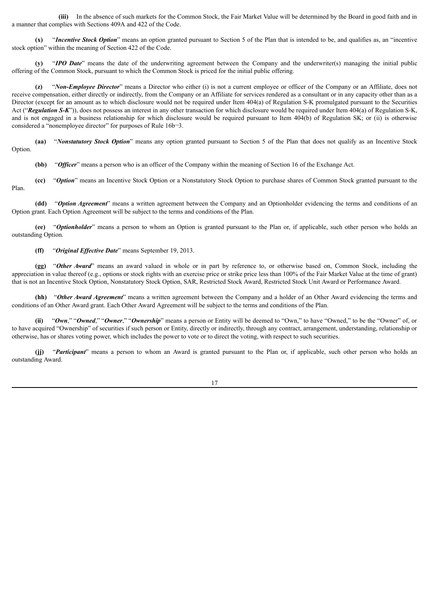**(iii)** In the absence of such markets for the Common Stock, the Fair Market Value will be determined by the Board in good faith and in a manner that complies with Sections 409A and 422 of the Code.

**(x)** "*Incentive Stock Option*" means an option granted pursuant to Section 5 of the Plan that is intended to be, and qualifies as, an "incentive stock option" within the meaning of Section 422 of the Code.

**(y)** "*IPO Date*" means the date of the underwriting agreement between the Company and the underwriter(s) managing the initial public offering of the Common Stock, pursuant to which the Common Stock is priced for the initial public offering.

**(z)** "*Non-Employee Director*" means a Director who either (i) is not a current employee or officer of the Company or an Affiliate, does not receive compensation, either directly or indirectly, from the Company or an Affiliate for services rendered as a consultant or in any capacity other than as a Director (except for an amount as to which disclosure would not be required under Item 404(a) of Regulation S-K promulgated pursuant to the Securities Act ("Regulation *S-K*")), does not possess an interest in any other transaction for which disclosure would be required under Item 404(a) of Regulation S-K, and is not engaged in a business relationship for which disclosure would be required pursuant to Item 404(b) of Regulation SK; or (ii) is otherwise considered a "nonemployee director" for purposes of Rule 16b¬3.

**(aa)** "*Nonstatutory Stock Option*" means any option granted pursuant to Section 5 of the Plan that does not qualify as an Incentive Stock Option.

**(bb)** "*Officer*" means a person who is an officer of the Company within the meaning of Section 16 of the Exchange Act.

**(cc)** "*Option*" means an Incentive Stock Option or a Nonstatutory Stock Option to purchase shares of Common Stock granted pursuant to the Plan.

**(dd)** "*Option Agreement*" means a written agreement between the Company and an Optionholder evidencing the terms and conditions of an Option grant. Each Option Agreement will be subject to the terms and conditions of the Plan.

**(ee)** "*Optionholder*" means a person to whom an Option is granted pursuant to the Plan or, if applicable, such other person who holds an outstanding Option.

**(ff)** "*Original Effective Date*" means September 19, 2013.

**(gg)** "*Other Award*" means an award valued in whole or in part by reference to, or otherwise based on, Common Stock, including the appreciation in value thereof (e.g., options or stock rights with an exercise price or strike price less than 100% of the Fair Market Value at the time of grant) that is not an Incentive Stock Option, Nonstatutory Stock Option, SAR, Restricted Stock Award, Restricted Stock Unit Award or Performance Award.

**(hh)** "*Other Award Agreement*" means a written agreement between the Company and a holder of an Other Award evidencing the terms and conditions of an Other Award grant. Each Other Award Agreement will be subject to the terms and conditions of the Plan.

**(ii)** "*Own*," "*Owned*," "*Owner*," "*Ownership*" means a person or Entity will be deemed to "Own," to have "Owned," to be the "Owner" of, or to have acquired "Ownership" of securities if such person or Entity, directly or indirectly, through any contract, arrangement, understanding, relationship or otherwise, has or shares voting power, which includes the power to vote or to direct the voting, with respect to such securities.

**(jj)** "*Participant*" means a person to whom an Award is granted pursuant to the Plan or, if applicable, such other person who holds an outstanding Award.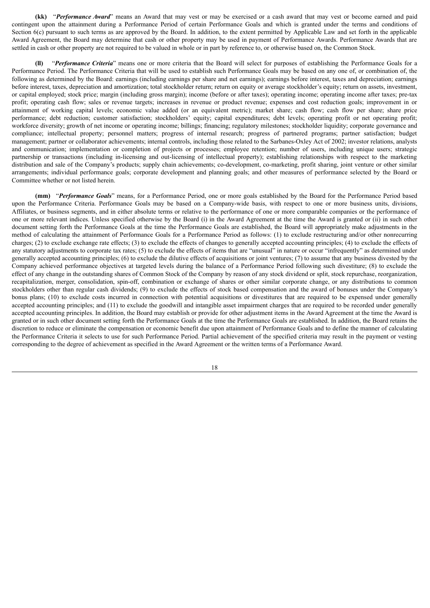**(kk)** "*Performance Award*" means an Award that may vest or may be exercised or a cash award that may vest or become earned and paid contingent upon the attainment during a Performance Period of certain Performance Goals and which is granted under the terms and conditions of Section 6(c) pursuant to such terms as are approved by the Board. In addition, to the extent permitted by Applicable Law and set forth in the applicable Award Agreement, the Board may determine that cash or other property may be used in payment of Performance Awards. Performance Awards that are settled in cash or other property are not required to be valued in whole or in part by reference to, or otherwise based on, the Common Stock.

**(ll)** "*Performance Criteria*" means one or more criteria that the Board will select for purposes of establishing the Performance Goals for a Performance Period. The Performance Criteria that will be used to establish such Performance Goals may be based on any one of, or combination of, the following as determined by the Board: earnings (including earnings per share and net earnings); earnings before interest, taxes and depreciation; earnings before interest, taxes, depreciation and amortization; total stockholder return; return on equity or average stockholder's equity; return on assets, investment, or capital employed; stock price; margin (including gross margin); income (before or after taxes); operating income; operating income after taxes; pre-tax profit; operating cash flow; sales or revenue targets; increases in revenue or product revenue; expenses and cost reduction goals; improvement in or attainment of working capital levels; economic value added (or an equivalent metric); market share; cash flow; cash flow per share; share price performance; debt reduction; customer satisfaction; stockholders' equity; capital expenditures; debt levels; operating profit or net operating profit; workforce diversity; growth of net income or operating income; billings; financing; regulatory milestones; stockholder liquidity; corporate governance and compliance; intellectual property; personnel matters; progress of internal research; progress of partnered programs; partner satisfaction; budget management; partner or collaborator achievements; internal controls, including those related to the Sarbanes-Oxley Act of 2002; investor relations, analysts and communication; implementation or completion of projects or processes; employee retention; number of users, including unique users; strategic partnership or transactions (including in-licensing and out-licensing of intellectual property); establishing relationships with respect to the marketing distribution and sale of the Company's products; supply chain achievements; co-development, co-marketing, profit sharing, joint venture or other similar arrangements; individual performance goals; corporate development and planning goals; and other measures of performance selected by the Board or Committee whether or not listed herein.

**(mm)** "*Performance Goals*" means, for a Performance Period, one or more goals established by the Board for the Performance Period based upon the Performance Criteria. Performance Goals may be based on a Company-wide basis, with respect to one or more business units, divisions, Affiliates, or business segments, and in either absolute terms or relative to the performance of one or more comparable companies or the performance of one or more relevant indices. Unless specified otherwise by the Board (i) in the Award Agreement at the time the Award is granted or (ii) in such other document setting forth the Performance Goals at the time the Performance Goals are established, the Board will appropriately make adjustments in the method of calculating the attainment of Performance Goals for a Performance Period as follows: (1) to exclude restructuring and/or other nonrecurring charges; (2) to exclude exchange rate effects; (3) to exclude the effects of changes to generally accepted accounting principles; (4) to exclude the effects of any statutory adjustments to corporate tax rates; (5) to exclude the effects of items that are "unusual" in nature or occur "infrequently" as determined under generally accepted accounting principles; (6) to exclude the dilutive effects of acquisitions or joint ventures; (7) to assume that any business divested by the Company achieved performance objectives at targeted levels during the balance of a Performance Period following such divestiture; (8) to exclude the effect of any change in the outstanding shares of Common Stock of the Company by reason of any stock dividend or split, stock repurchase, reorganization, recapitalization, merger, consolidation, spin-off, combination or exchange of shares or other similar corporate change, or any distributions to common stockholders other than regular cash dividends; (9) to exclude the effects of stock based compensation and the award of bonuses under the Company's bonus plans; (10) to exclude costs incurred in connection with potential acquisitions or divestitures that are required to be expensed under generally accepted accounting principles; and (11) to exclude the goodwill and intangible asset impairment charges that are required to be recorded under generally accepted accounting principles. In addition, the Board may establish or provide for other adjustment items in the Award Agreement at the time the Award is granted or in such other document setting forth the Performance Goals at the time the Performance Goals are established. In addition, the Board retains the discretion to reduce or eliminate the compensation or economic benefit due upon attainment of Performance Goals and to define the manner of calculating the Performance Criteria it selects to use for such Performance Period. Partial achievement of the specified criteria may result in the payment or vesting corresponding to the degree of achievement as specified in the Award Agreement or the written terms of a Performance Award.